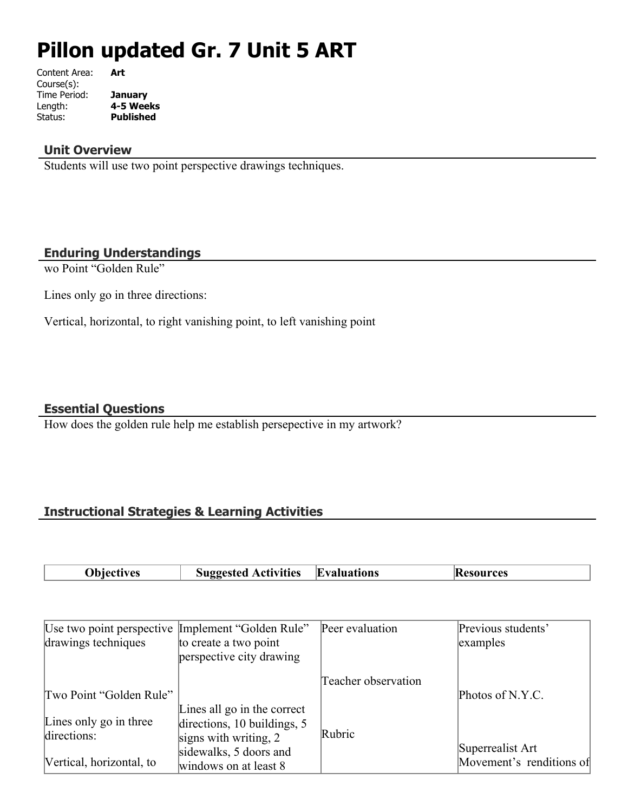# **Pillon updated Gr. 7 Unit 5 ART**

| Content Area: | Art              |
|---------------|------------------|
| Course(s):    |                  |
| Time Period:  | January          |
| Length:       | 4-5 Weeks        |
| Status:       | <b>Published</b> |
|               |                  |

#### **Unit Overview**

Students will use two point perspective drawings techniques.

#### **Enduring Understandings**

wo Point "Golden Rule"

Lines only go in three directions:

Vertical, horizontal, to right vanishing point, to left vanishing point

#### **Essential Questions**

How does the golden rule help me establish persepective in my artwork?

# **Instructional Strategies & Learning Activities**

| <b>Evaluations</b><br><b>Suggested Activities</b><br>Obiectives | <b>Resources</b> |
|-----------------------------------------------------------------|------------------|
|-----------------------------------------------------------------|------------------|

| Use two point perspective Implement "Golden Rule" |                             | Peer evaluation     | Previous students'       |
|---------------------------------------------------|-----------------------------|---------------------|--------------------------|
| drawings techniques                               | to create a two point       |                     | examples                 |
|                                                   | perspective city drawing    |                     |                          |
|                                                   |                             | Teacher observation |                          |
| Two Point "Golden Rule"                           |                             |                     | Photos of N.Y.C.         |
|                                                   | Lines all go in the correct |                     |                          |
| Lines only go in three                            | directions, 10 buildings, 5 |                     |                          |
| directions:                                       | signs with writing, $2$     | Rubric              |                          |
|                                                   | sidewalks, 5 doors and      |                     | Superrealist Art         |
| Vertical, horizontal, to                          | windows on at least 8       |                     | Movement's renditions of |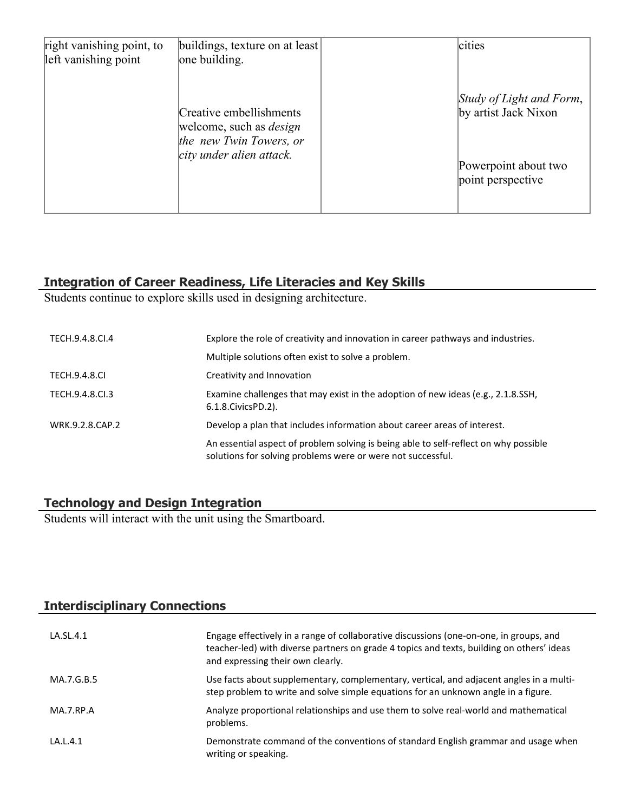| right vanishing point, to<br>left vanishing point | buildings, texture on at least<br>one building.                                      | cities                                           |
|---------------------------------------------------|--------------------------------------------------------------------------------------|--------------------------------------------------|
|                                                   | Creative embellishments<br>welcome, such as <i>design</i><br>the new Twin Towers, or | Study of Light and Form,<br>by artist Jack Nixon |
|                                                   | city under alien attack.                                                             | Powerpoint about two<br>point perspective        |

# **Integration of Career Readiness, Life Literacies and Key Skills**

Students continue to explore skills used in designing architecture.

| TECH.9.4.8.CI.4      | Explore the role of creativity and innovation in career pathways and industries.                                                                    |
|----------------------|-----------------------------------------------------------------------------------------------------------------------------------------------------|
|                      | Multiple solutions often exist to solve a problem.                                                                                                  |
| <b>TECH.9.4.8.CI</b> | Creativity and Innovation                                                                                                                           |
| TECH.9.4.8.Cl.3      | Examine challenges that may exist in the adoption of new ideas (e.g., 2.1.8.SSH,<br>6.1.8. Civics PD. 2).                                           |
| WRK.9.2.8.CAP.2      | Develop a plan that includes information about career areas of interest.                                                                            |
|                      | An essential aspect of problem solving is being able to self-reflect on why possible<br>solutions for solving problems were or were not successful. |

# **Technology and Design Integration**

Students will interact with the unit using the Smartboard.

# **Interdisciplinary Connections**

| LA.SL.4.1  | Engage effectively in a range of collaborative discussions (one-on-one, in groups, and<br>teacher-led) with diverse partners on grade 4 topics and texts, building on others' ideas<br>and expressing their own clearly. |
|------------|--------------------------------------------------------------------------------------------------------------------------------------------------------------------------------------------------------------------------|
| MA.7.G.B.5 | Use facts about supplementary, complementary, vertical, and adjacent angles in a multi-<br>step problem to write and solve simple equations for an unknown angle in a figure.                                            |
| MA.7.RP.A  | Analyze proportional relationships and use them to solve real-world and mathematical<br>problems.                                                                                                                        |
| LA.L.4.1   | Demonstrate command of the conventions of standard English grammar and usage when<br>writing or speaking.                                                                                                                |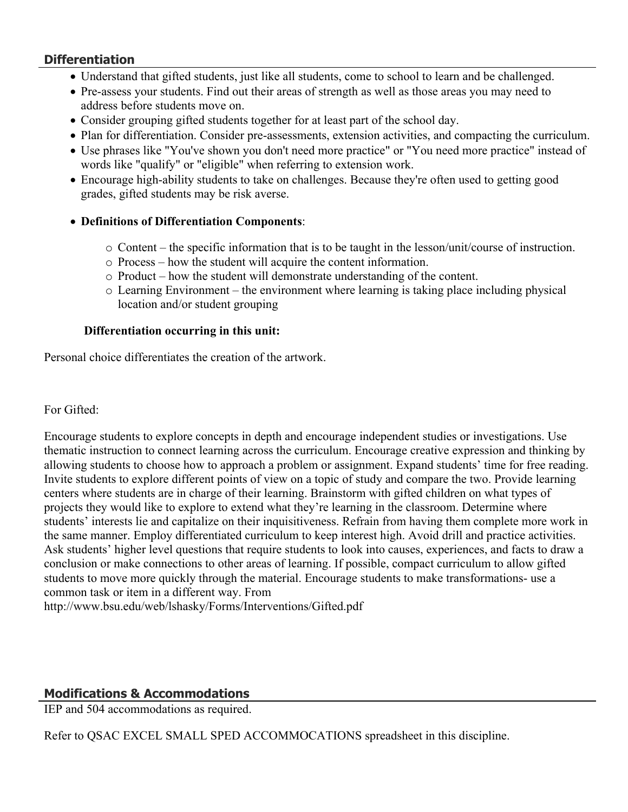#### **Differentiation**

- Understand that gifted students, just like all students, come to school to learn and be challenged.
- Pre-assess your students. Find out their areas of strength as well as those areas you may need to address before students move on.
- Consider grouping gifted students together for at least part of the school day.
- Plan for differentiation. Consider pre-assessments, extension activities, and compacting the curriculum.
- Use phrases like "You've shown you don't need more practice" or "You need more practice" instead of words like "qualify" or "eligible" when referring to extension work.
- Encourage high-ability students to take on challenges. Because they're often used to getting good grades, gifted students may be risk averse.

#### **Definitions of Differentiation Components**:

- o Content the specific information that is to be taught in the lesson/unit/course of instruction.
- o Process how the student will acquire the content information.
- o Product how the student will demonstrate understanding of the content.
- o Learning Environment the environment where learning is taking place including physical location and/or student grouping

#### **Differentiation occurring in this unit:**

Personal choice differentiates the creation of the artwork.

#### For Gifted:

Encourage students to explore concepts in depth and encourage independent studies or investigations. Use thematic instruction to connect learning across the curriculum. Encourage creative expression and thinking by allowing students to choose how to approach a problem or assignment. Expand students' time for free reading. Invite students to explore different points of view on a topic of study and compare the two. Provide learning centers where students are in charge of their learning. Brainstorm with gifted children on what types of projects they would like to explore to extend what they're learning in the classroom. Determine where students' interests lie and capitalize on their inquisitiveness. Refrain from having them complete more work in the same manner. Employ differentiated curriculum to keep interest high. Avoid drill and practice activities. Ask students' higher level questions that require students to look into causes, experiences, and facts to draw a conclusion or make connections to other areas of learning. If possible, compact curriculum to allow gifted students to move more quickly through the material. Encourage students to make transformations- use a common task or item in a different way. From

http://www.bsu.edu/web/lshasky/Forms/Interventions/Gifted.pdf

## **Modifications & Accommodations**

IEP and 504 accommodations as required.

Refer to QSAC EXCEL SMALL SPED ACCOMMOCATIONS spreadsheet in this discipline.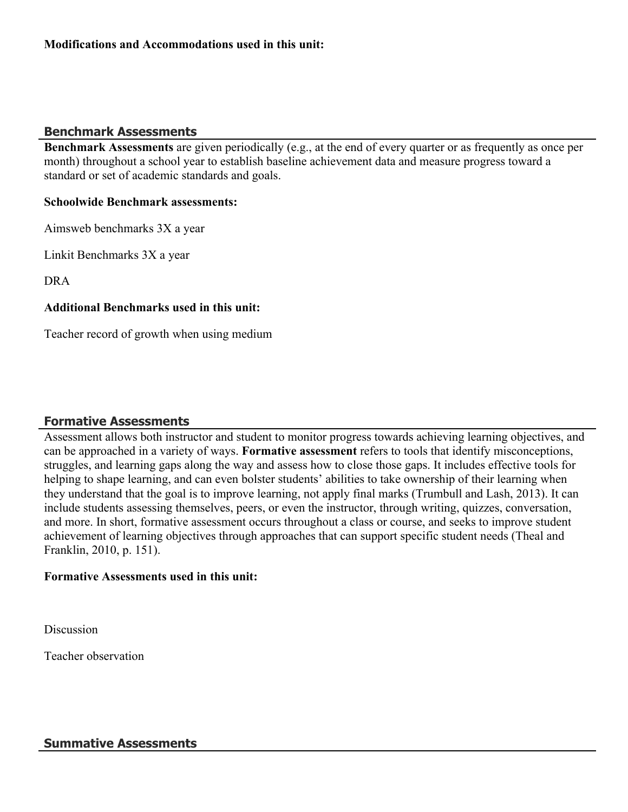#### **Benchmark Assessments**

**Benchmark Assessments** are given periodically (e.g., at the end of every quarter or as frequently as once per month) throughout a school year to establish baseline achievement data and measure progress toward a standard or set of academic standards and goals.

#### **Schoolwide Benchmark assessments:**

Aimsweb benchmarks 3X a year

Linkit Benchmarks 3X a year

DRA

#### **Additional Benchmarks used in this unit:**

Teacher record of growth when using medium

## **Formative Assessments**

Assessment allows both instructor and student to monitor progress towards achieving learning objectives, and can be approached in a variety of ways. **Formative assessment** refers to tools that identify misconceptions, struggles, and learning gaps along the way and assess how to close those gaps. It includes effective tools for helping to shape learning, and can even bolster students' abilities to take ownership of their learning when they understand that the goal is to improve learning, not apply final marks (Trumbull and Lash, 2013). It can include students assessing themselves, peers, or even the instructor, through writing, quizzes, conversation, and more. In short, formative assessment occurs throughout a class or course, and seeks to improve student achievement of learning objectives through approaches that can support specific student needs (Theal and Franklin, 2010, p. 151).

#### **Formative Assessments used in this unit:**

**Discussion** 

Teacher observation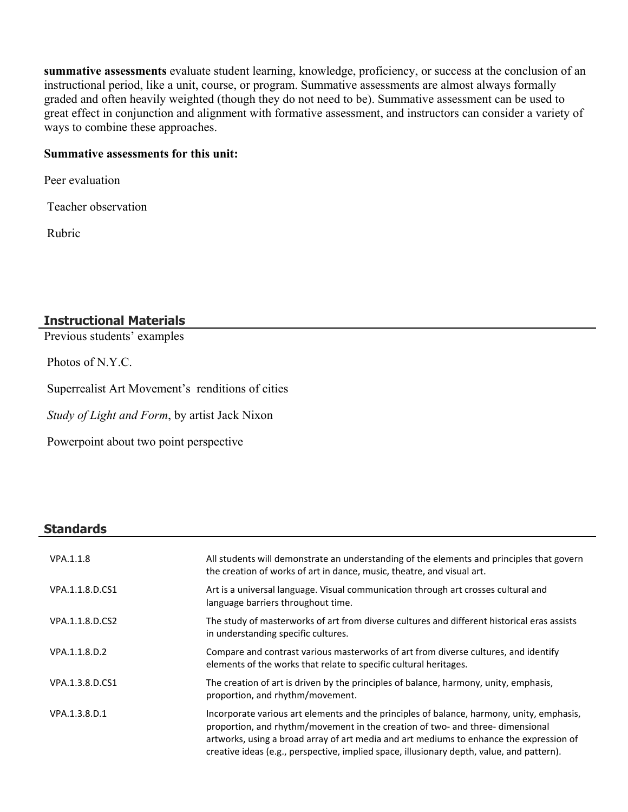**summative assessments** evaluate student learning, knowledge, proficiency, or success at the conclusion of an instructional period, like a unit, course, or program. Summative assessments are almost always formally graded and often heavily weighted (though they do not need to be). Summative assessment can be used to great effect in conjunction and alignment with formative assessment, and instructors can consider a variety of ways to combine these approaches.

#### **Summative assessments for this unit:**

Peer evaluation

Teacher observation

Rubric

# **Instructional Materials**

Previous students' examples

Photos of N.Y.C.

Superrealist Art Movement's renditions of cities

*Study of Light and Form*, by artist Jack Nixon

Powerpoint about two point perspective

#### **Standards**

| VPA.1.1.8       | All students will demonstrate an understanding of the elements and principles that govern<br>the creation of works of art in dance, music, theatre, and visual art.                                                                                                                                                                                                 |
|-----------------|---------------------------------------------------------------------------------------------------------------------------------------------------------------------------------------------------------------------------------------------------------------------------------------------------------------------------------------------------------------------|
| VPA.1.1.8.D.CS1 | Art is a universal language. Visual communication through art crosses cultural and<br>language barriers throughout time.                                                                                                                                                                                                                                            |
| VPA.1.1.8.D.CS2 | The study of masterworks of art from diverse cultures and different historical eras assists<br>in understanding specific cultures.                                                                                                                                                                                                                                  |
| VPA.1.1.8.D.2   | Compare and contrast various masterworks of art from diverse cultures, and identify<br>elements of the works that relate to specific cultural heritages.                                                                                                                                                                                                            |
| VPA.1.3.8.D.CS1 | The creation of art is driven by the principles of balance, harmony, unity, emphasis,<br>proportion, and rhythm/movement.                                                                                                                                                                                                                                           |
| VPA.1.3.8.D.1   | Incorporate various art elements and the principles of balance, harmony, unity, emphasis,<br>proportion, and rhythm/movement in the creation of two- and three- dimensional<br>artworks, using a broad array of art media and art mediums to enhance the expression of<br>creative ideas (e.g., perspective, implied space, illusionary depth, value, and pattern). |